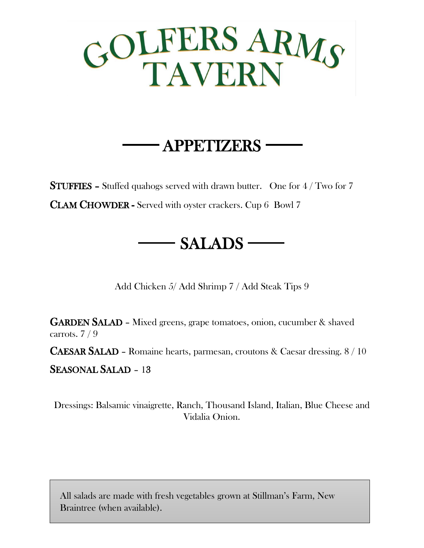

## APPETIZERS

STUFFIES – Stuffed quahogs served with drawn butter. One for 4 / Two for 7 CLAM CHOWDER - Served with oyster crackers. Cup 6 Bowl 7

- SALADS —

Add Chicken 5/ Add Shrimp 7 / Add Steak Tips 9

GARDEN SALAD – Mixed greens, grape tomatoes, onion, cucumber & shaved carrots. 7 / 9

CAESAR SALAD – Romaine hearts, parmesan, croutons & Caesar dressing. 8 / 10

SEASONAL SALAD – 13

Dressings: Balsamic vinaigrette, Ranch, Thousand Island, Italian, Blue Cheese and Vidalia Onion.

All salads are made with fresh vegetables grown at Stillman's Farm, New Braintree (when available).